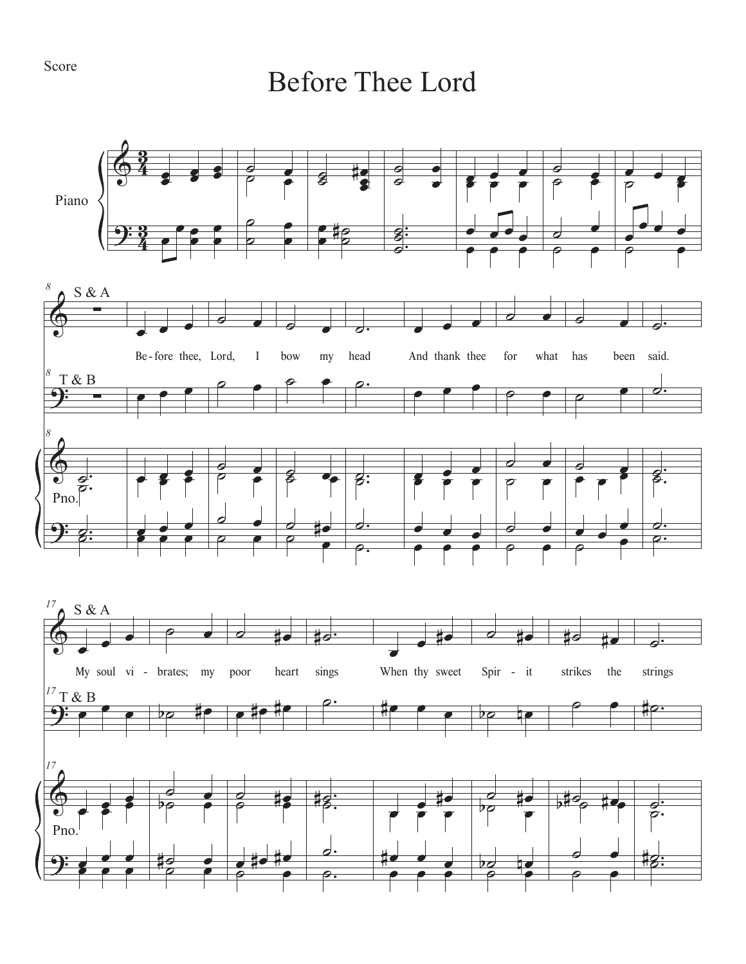## Before Thee Lord

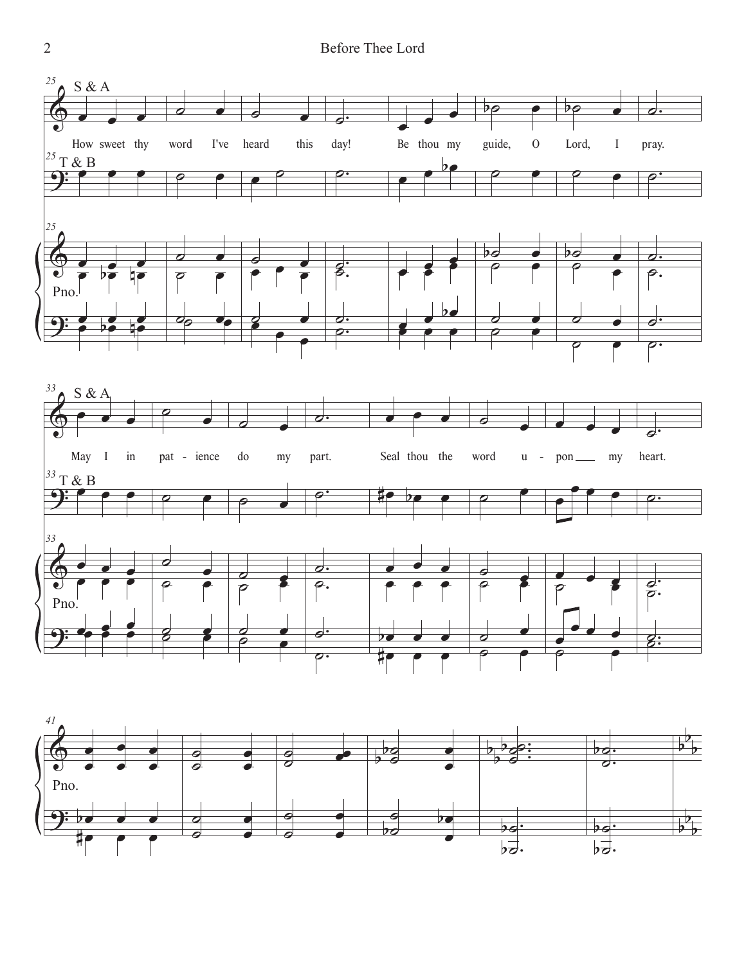

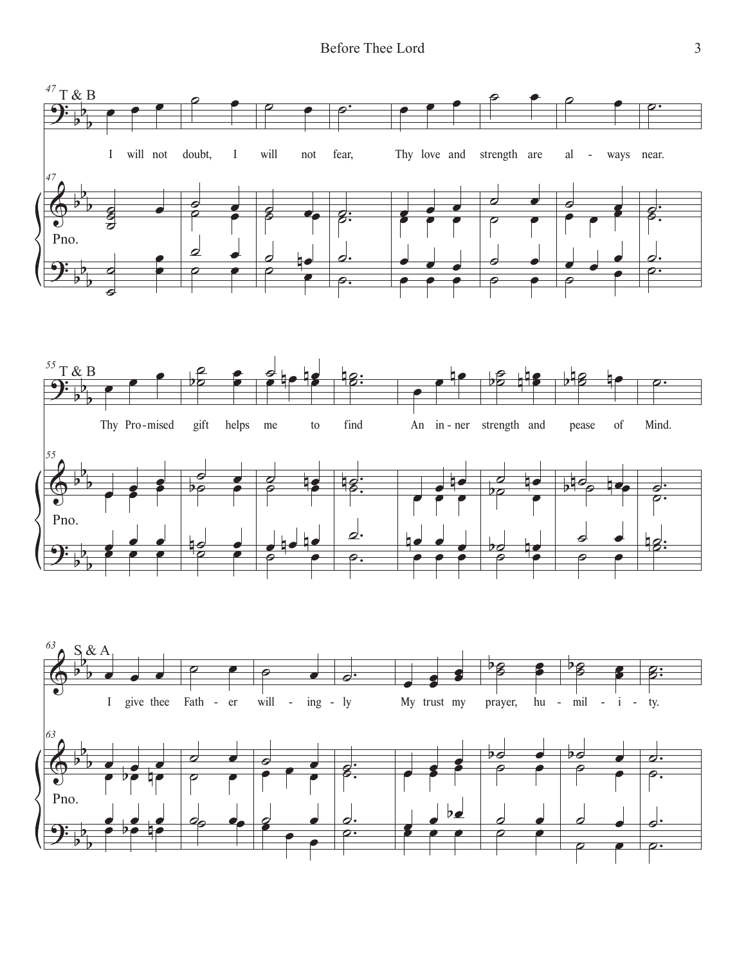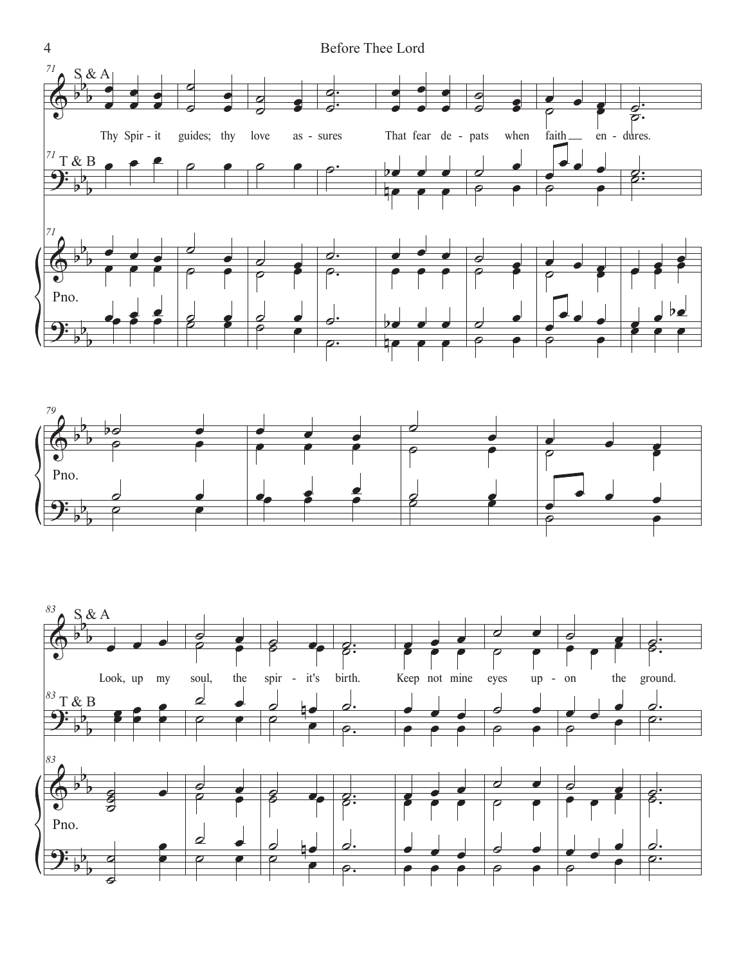



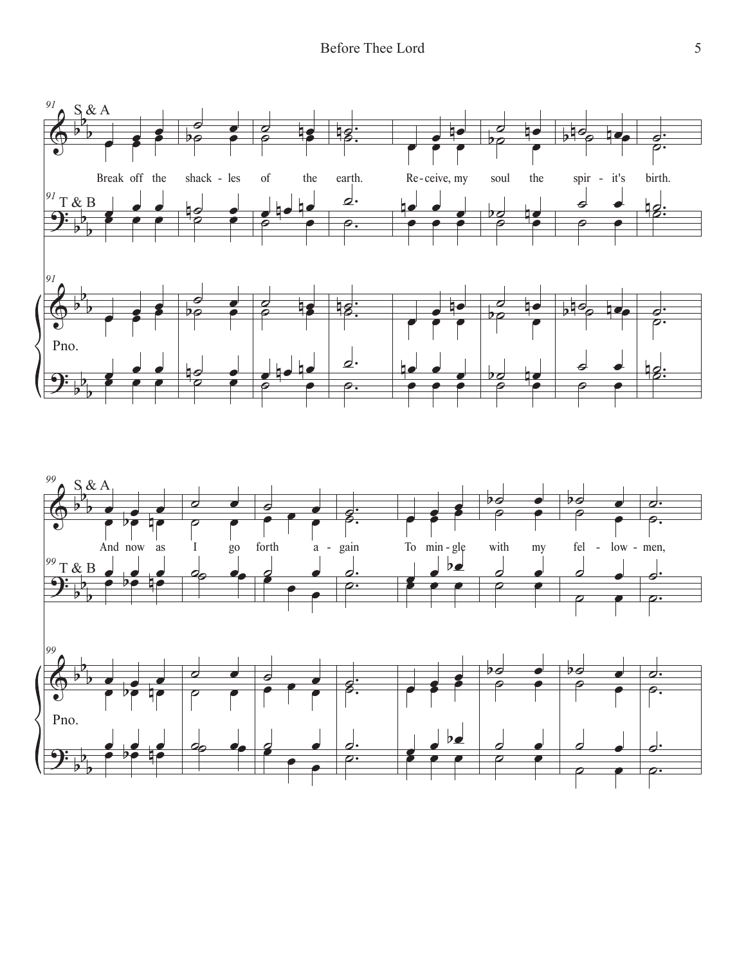